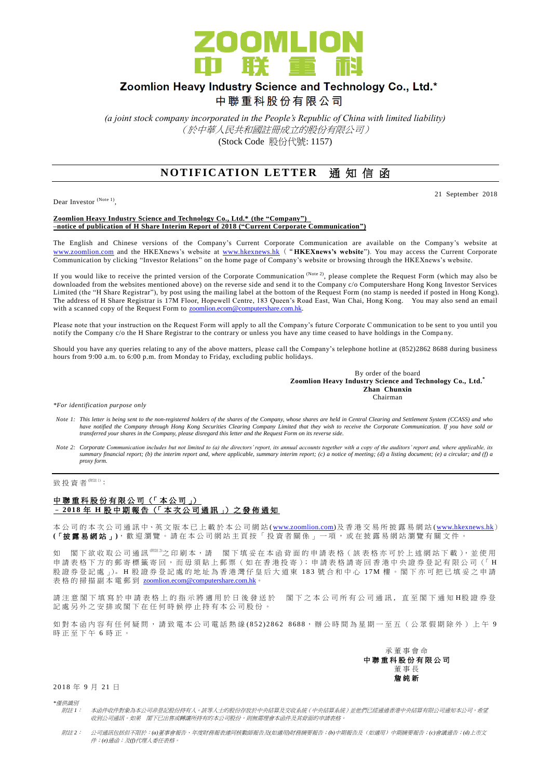

# Zoomlion Heavy Industry Science and Technology Co., Ltd.\*

中聯重科股份有限公司

*(a joint stock company incorporated in the People's Republic of China with limited liability)* (於中華人民共和國註冊成立的股份有限公司) (Stock Code 股份代號: 1157)

# **NOTIFICATION LETTER** 通知信函

Dear Investor (Note 1),

#### 21 September 2018

#### **Zoomlion Heavy Industry Science and Technology Co., Ltd.\* (the "Company") –notice of publication of H Share Interim Report of 2018 ("Current Corporate Communication")**

The English and Chinese versions of the Company's Current Corporate Communication are available on the Company's website at [www.zoomlion.com](http://www.zoomlion.com/) and the HKEXnews's website at [www.hkexnews.hk](http://www.hkexnews.hk/) ("**HKEXnews's website**"). You may access the Current Corporate Communication by clicking "Investor Relations" on the home page of Company's website or browsing through the HKEXnews's website.

If you would like to receive the printed version of the Corporate Communication  $^{(Note 2)}$ , please complete the Request Form (which may also be downloaded from the websites mentioned above) on the reverse side and send it to the Company c/o Computershare Hong Kong Investor Services Limited (the "H Share Registrar"), by post using the mailing label at the bottom of the Request Form (no stamp is needed if posted in Hong Kong). The address of H Share Registrar is 17M Floor, Hopewell Centre, 183 Queen's Road East, Wan Chai, Hong Kong. You may also send an email with a scanned copy of the Request Form to **zoomlion.ecom@computershare.com.hk.** 

Please note that your instruction on the Request Form will apply to all the Company's future Corporate Communication to be sent to you until you notify the Company c/o the H Share Registrar to the contrary or unless you have any time ceased to have holdings in the Compa ny.

Should you have any queries relating to any of the above matters, please call the Company's telephone hotline at (852)2862 8688 during business hours from 9:00 a.m. to 6:00 p.m. from Monday to Friday, excluding public holidays.

> By order of the board **Zoomlion Heavy Industry Science and Technology Co., Ltd.\* Zhan Chunxin** Chairman

*\*For identification purpose only*

- *Note 1: This letter is being sent to the non-registered holders of the shares of the Company, whose shares are held in Central Clearing and Settlement System (CCASS) and who*  have notified the Company through Hong Kong Securities Clearing Company Limited that they wish to receive the Corporate Communication. If you have sold or<br>transferred your shares in the Company, please disregard this lette
- *Note 2: Corporate Communication includes but not limited to (a) the directors' report, its annual accounts together with a copy of the auditors' report and, where applicable, its summary financial report; (b) the interim report and, where applicable, summary interim report; (c) a notice of meeting; (d) a listing document; (e) a circular; and (f) a proxy form.*

# 致投資者<sup>(附註1)</sup>:

#### 中聯重科股份有限公司 (「本公司」) – **2 01 8** 年 **H** 股 中 期 報 告 (「 本 次 公 司 通 訊 」) 之 發 佈 通 知

本公司的 本 次 公 司 通 訊 中、英 文 版 本 已 上 載於本 公 司 網 站 [\(www.zoomlion.com\)](http://www.zoomlion.com/)及香港交易所披露易網站 [\(www.hkexnews.hk](http://www.hkexnews.hk/)) **(**「披露易網站 」**)**,歡迎瀏覽。 請 在 本 公 司 網 站 主 頁 按 「 投 資 者 關 係 」 一 項 , 或 在 披 露 易 網 站 瀏 覽 有 關 文 件 。

如 閣下欲收取公司通訊<sup>《睢》</sup>之印刷本,請 閣下填妥在本函背面的申請表格(該表格亦可於上述網站下載),並使用 申請表格下方的郵寄標籤寄回,而毋須貼上郵票(如在香港投寄);申請表格請寄回香港中央證券登記有限公司(「H 股證券 登 記 處 」)。 H 股 證 券 登 記 處 的 地 址 為 香 港 灣 仔 皇 后 大 道 東 183 號 合 和 中 心 17M 樓 。 閣 下 亦 可 把 已 填 妥 之 申 請 表格的掃描副本電郵到 [zoomlion.ecom@computershare.com.hk](mailto:zoomlion.ecom@computershare.com.hk)

請注 意 閣 下 填 寫 於 申 請 表 格 上 的 指 示 將 適 用 於 日 後 發 送 於 图 下 之 本 公 司 所 有 公 司 通 訊 , 直 至 閣 下 通 知 H股 證 券 登 記處另外之安排或閣下在任何時候停止持有本公司股份。

如對本函內容有任何疑問,請致電本公司電話熱線 (852) 2862 8688,辦公時間為星期一至五(公眾假期除外)上午 9 時正至下午 6 時正。



2018 年 9 月 21 日

*\**僅供識別

- 附註 *1*: 本函件收件對象為本公司非登記股份持有人。該等人士的股份存放於中央結算及交收系統(中央結算系統)並他們已經通過香港中央結算有限公司通知本公司,希望 收到公司通訊。如果 閣下已出售或轉讓所持有的本公司股份,則無需理會本函件及其背面的申請表格。
- 附註 *2*: 公司通訊包括但不限於:*(a)*董事會報告、年度財務報表連同核數師報告及*(*如適用*)*財務摘要報告;*(b)*中期報告及(如適用)中期摘要報告;*(c)*會議通告;*(d)*上市文 件;*(e)*通函;及*(f)*代理人委任表格。